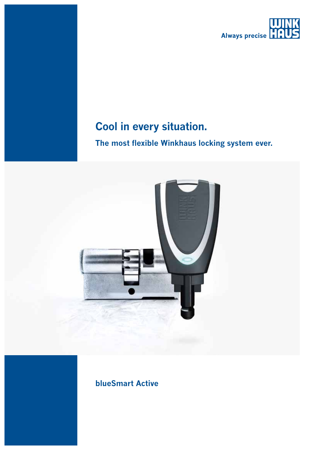

## **Cool in every situation.**

## **The most flexible Winkhaus locking system ever.**





**blueSmart Active**